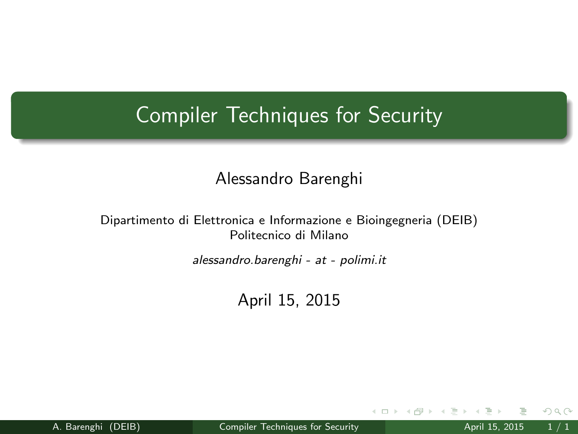# <span id="page-0-0"></span>Compiler Techniques for Security

#### Alessandro Barenghi

#### Dipartimento di Elettronica e Informazione e Bioingegneria (DEIB) Politecnico di Milano

alessandro.barenghi - at - polimi.it

### April 15, 2015

 $\leftarrow$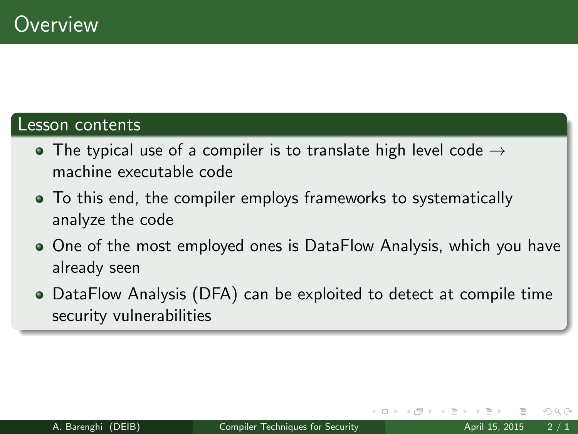#### Lesson contents

- The typical use of a compiler is to translate high level code  $\rightarrow$ machine executable code
- To this end, the compiler employs frameworks to systematically analyze the code
- One of the most employed ones is DataFlow Analysis, which you have already seen
- DataFlow Analysis (DFA) can be exploited to detect at compile time security vulnerabilities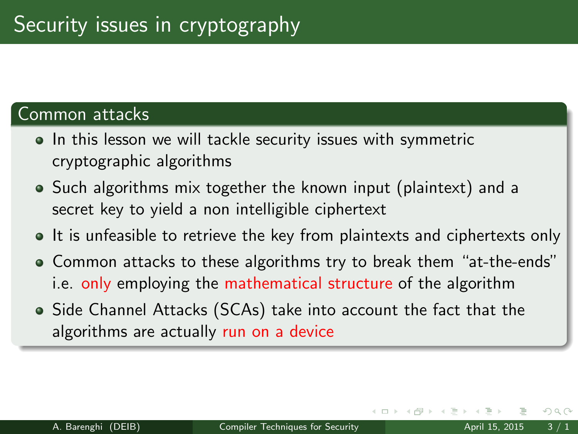#### Common attacks

- In this lesson we will tackle security issues with symmetric cryptographic algorithms
- Such algorithms mix together the known input (plaintext) and a secret key to yield a non intelligible ciphertext
- It is unfeasible to retrieve the key from plaintexts and ciphertexts only
- Common attacks to these algorithms try to break them "at-the-ends" i.e. only employing the mathematical structure of the algorithm
- Side Channel Attacks (SCAs) take into account the fact that the algorithms are actually run on a device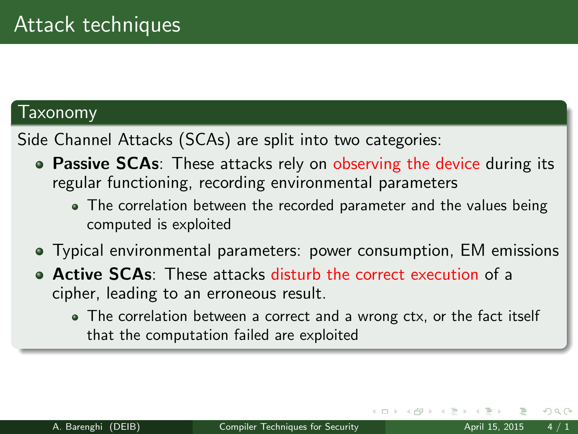#### Taxonomy

Side Channel Attacks (SCAs) are split into two categories:

- Passive SCAs: These attacks rely on observing the device during its regular functioning, recording environmental parameters
	- The correlation between the recorded parameter and the values being computed is exploited
- Typical environmental parameters: power consumption, EM emissions
- Active SCAs: These attacks disturb the correct execution of a cipher, leading to an erroneous result.
	- The correlation between a correct and a wrong ctx, or the fact itself that the computation failed are exploited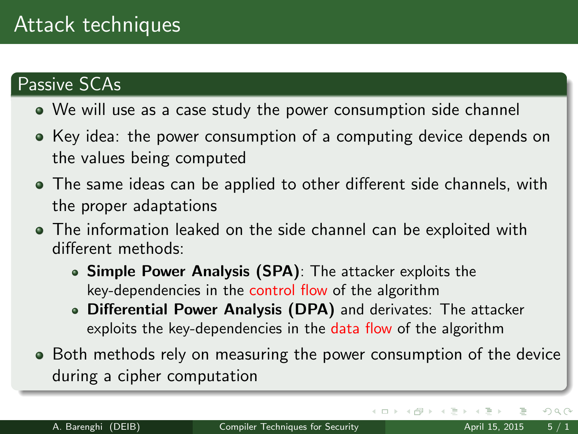# Attack techniques

### Passive SCAs

- We will use as a case study the power consumption side channel
- Key idea: the power consumption of a computing device depends on the values being computed
- The same ideas can be applied to other different side channels, with the proper adaptations
- The information leaked on the side channel can be exploited with different methods:
	- Simple Power Analysis (SPA): The attacker exploits the key-dependencies in the control flow of the algorithm
	- Differential Power Analysis (DPA) and derivates: The attacker exploits the key-dependencies in the data flow of the algorithm
- Both methods rely on measuring the power consumption of the device during a cipher computation

イロト イ母ト イヨト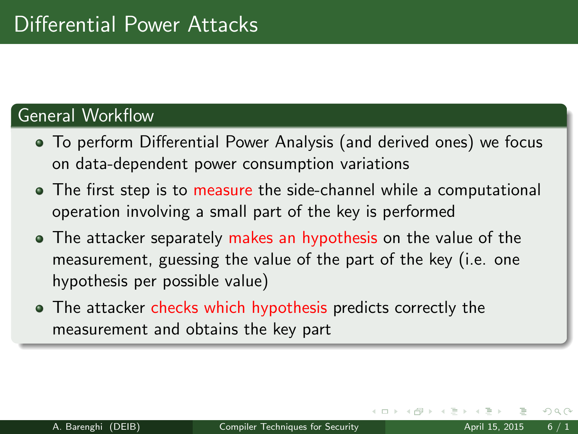### General Workflow

- To perform Differential Power Analysis (and derived ones) we focus on data-dependent power consumption variations
- The first step is to measure the side-channel while a computational operation involving a small part of the key is performed
- The attacker separately makes an hypothesis on the value of the measurement, guessing the value of the part of the key (i.e. one hypothesis per possible value)
- The attacker checks which hypothesis predicts correctly the measurement and obtains the key part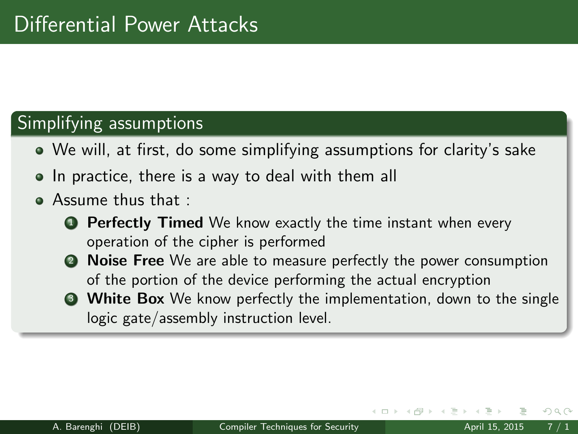### Simplifying assumptions

- We will, at first, do some simplifying assumptions for clarity's sake
- In practice, there is a way to deal with them all
- Assume thus that :
	- **4** Perfectly Timed We know exactly the time instant when every operation of the cipher is performed
	- **2** Noise Free We are able to measure perfectly the power consumption of the portion of the device performing the actual encryption
	- **3 White Box** We know perfectly the implementation, down to the single logic gate/assembly instruction level.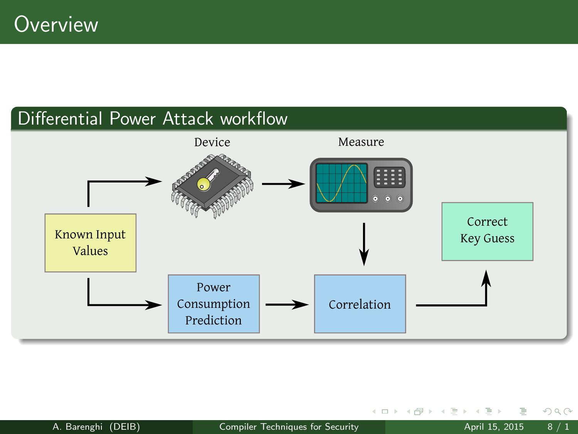### Differential Power Attack workflow



 $\equiv$ 

 $\sim$  40

イロト イ母ト イヨト

 $2Q$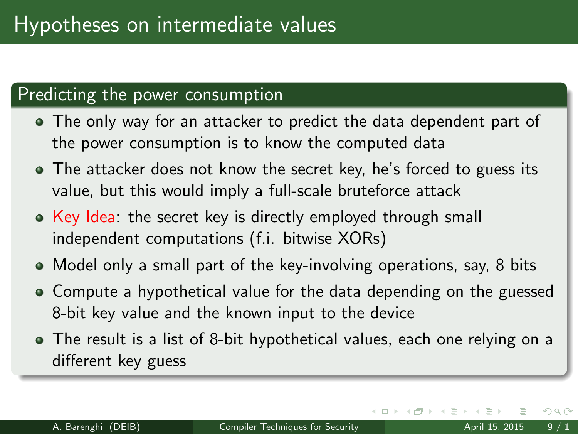### Predicting the power consumption

- The only way for an attacker to predict the data dependent part of the power consumption is to know the computed data
- The attacker does not know the secret key, he's forced to guess its value, but this would imply a full-scale bruteforce attack
- Key Idea: the secret key is directly employed through small independent computations (f.i. bitwise XORs)
- Model only a small part of the key-involving operations, say, 8 bits
- Compute a hypothetical value for the data depending on the guessed 8-bit key value and the known input to the device
- The result is a list of 8-bit hypothetical values, each one relying on a different key guess

4 **D** F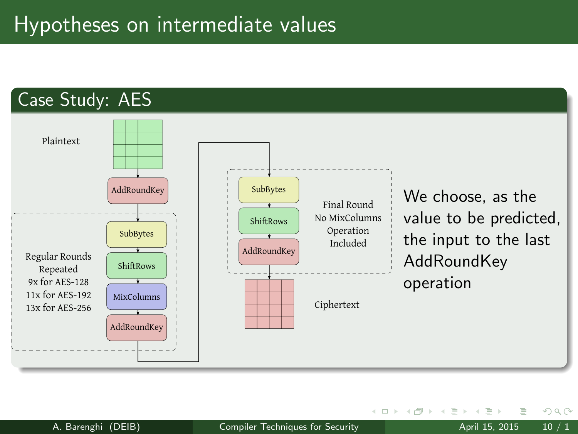

イロト イ母 トイラト イラト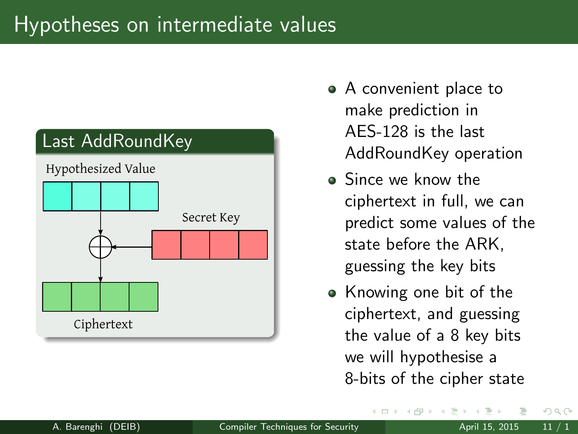# Hypotheses on intermediate values



- A convenient place to make prediction in AES-128 is the last AddRoundKey operation
- Since we know the ciphertext in full, we can predict some values of the state before the ARK, guessing the key bits
- Knowing one bit of the ciphertext, and guessing the value of a 8 key bits we will hypothesise a 8-bits of the cipher state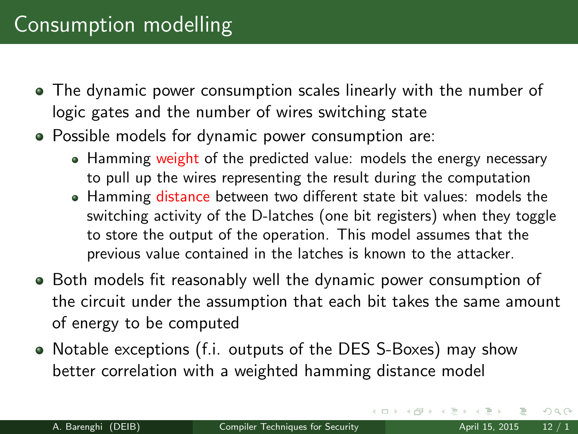# Consumption modelling

- The dynamic power consumption scales linearly with the number of logic gates and the number of wires switching state
- Possible models for dynamic power consumption are:
	- Hamming weight of the predicted value: models the energy necessary to pull up the wires representing the result during the computation
	- Hamming distance between two different state bit values: models the switching activity of the D-latches (one bit registers) when they toggle to store the output of the operation. This model assumes that the previous value contained in the latches is known to the attacker.
- Both models fit reasonably well the dynamic power consumption of the circuit under the assumption that each bit takes the same amount of energy to be computed
- Notable exceptions (f.i. outputs of the DES S-Boxes) may show better correlation with a weighted hamming distance model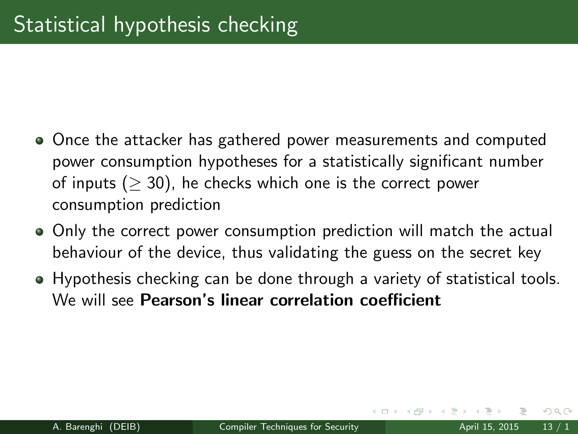- Once the attacker has gathered power measurements and computed power consumption hypotheses for a statistically significant number of inputs ( $\geq$  30), he checks which one is the correct power consumption prediction
- Only the correct power consumption prediction will match the actual behaviour of the device, thus validating the guess on the secret key
- Hypothesis checking can be done through a variety of statistical tools. We will see **Pearson's linear correlation coefficient**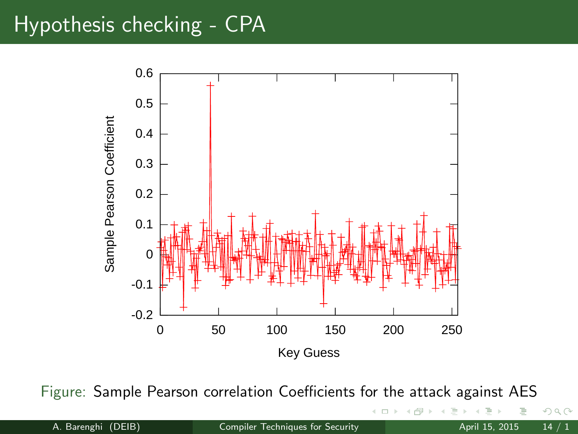# <span id="page-13-0"></span>Hypothesis checking - CPA



Figure: Sample Pearson correlation Coefficients for the attack against AES

 $OQ$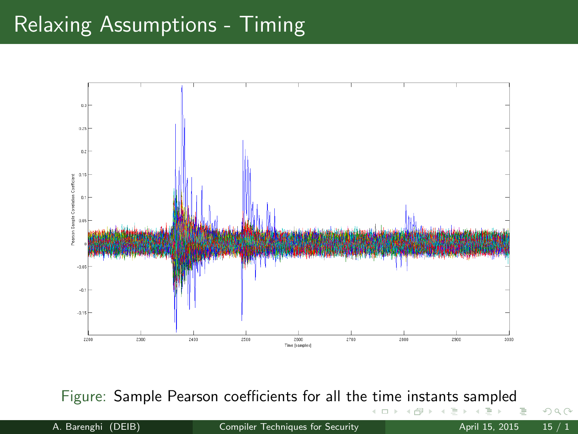## Relaxing Assumptions - Timing



Figure: Sample Pearson coefficients for all the [ti](#page-13-0)[me instants sampled](#page-0-0)

4 0 F  $\sim$ 

A. Barenghi (DEIB) [Compiler Techniques for Security](#page-0-0) **April 15, 2015** 15 / 15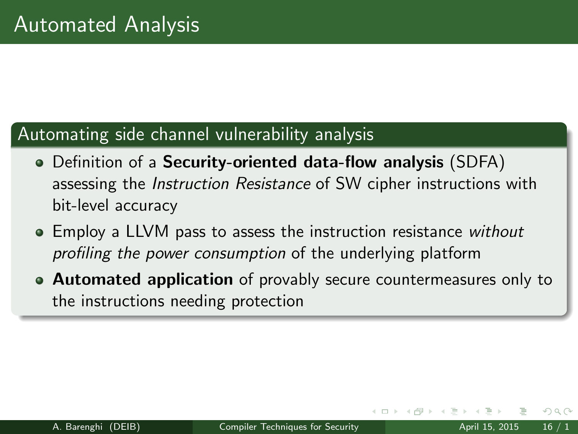## Automating side channel vulnerability analysis

- Definition of a **Security-oriented data-flow analysis** (SDFA) assessing the Instruction Resistance of SW cipher instructions with bit-level accuracy
- **Employ a LLVM pass to assess the instruction resistance without** profiling the power consumption of the underlying platform
- Automated application of provably secure countermeasures only to the instructions needing protection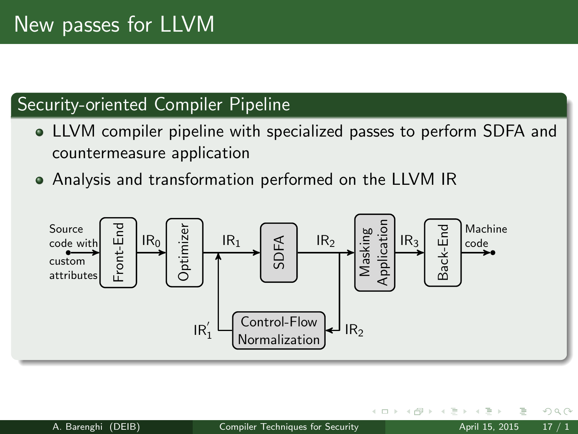## Security-oriented Compiler Pipeline

- LLVM compiler pipeline with specialized passes to perform SDFA and countermeasure application
- Analysis and transformation performed on the LLVM IR

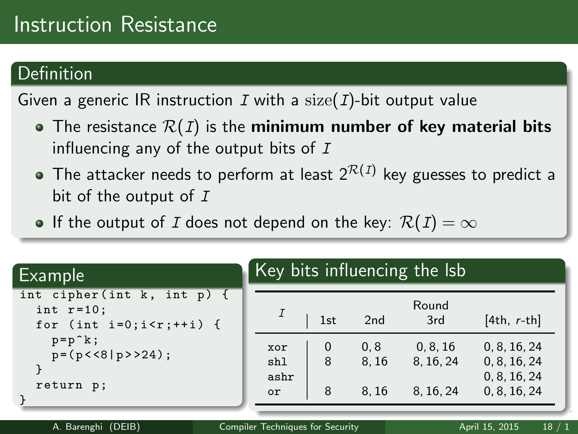# Instruction Resistance

## Definition

Given a generic IR instruction I with a size(I)-bit output value

- The resistance  $\mathcal{R}(I)$  is the minimum number of key material bits influencing any of the output bits of  $I$
- The attacker needs to perform at least  $2^{\mathcal{R}(I)}$  key guesses to predict a bit of the output of  $I$
- If the output of I does not depend on the key:  $\mathcal{R}(I) = \infty$

| Example                                                                               | Key bits influencing the Isb |                       |                     |                                  |                                                              |
|---------------------------------------------------------------------------------------|------------------------------|-----------------------|---------------------|----------------------------------|--------------------------------------------------------------|
| int cipher (int $k$ , int $p$ ) {<br>int $r=10$ ;<br>for (int $i=0; i \le r; ++i$ ) { |                              | 1st                   | 2nd                 | Round<br>3rd                     | $[4th, r-th]$                                                |
| $p = p^k$<br>$p = (p \lt 8   p \gt 24);$<br>return p;                                 | xor<br>sh1<br>ashr<br>or     | $\mathbf 0$<br>8<br>8 | 0.8<br>8.16<br>8.16 | 0, 8, 16<br>8, 16, 24<br>8.16.24 | 0, 8, 16, 24<br>0, 8, 16, 24<br>0, 8, 16, 24<br>0, 8, 16, 24 |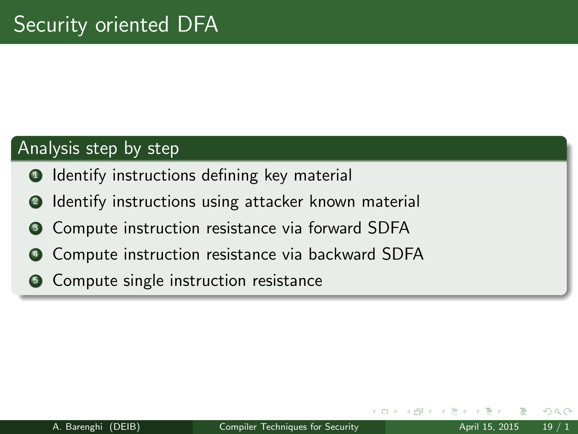### Analysis step by step

- **1** Identify instructions defining key material
- <sup>2</sup> Identify instructions using attacker known material
- <sup>3</sup> Compute instruction resistance via forward SDFA
- <sup>4</sup> Compute instruction resistance via backward SDFA
- **Compute single instruction resistance**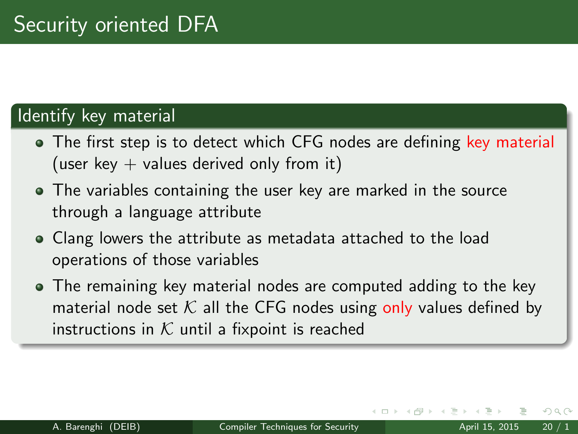### Identify key material

- The first step is to detect which CFG nodes are defining key material (user key  $+$  values derived only from it)
- The variables containing the user key are marked in the source through a language attribute
- Clang lowers the attribute as metadata attached to the load operations of those variables
- The remaining key material nodes are computed adding to the key material node set  $K$  all the CFG nodes using only values defined by instructions in  $K$  until a fixpoint is reached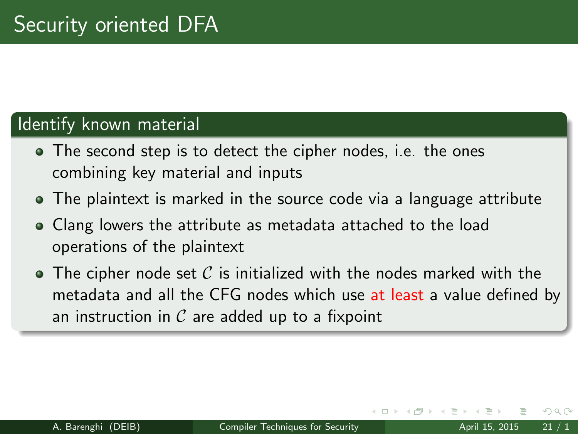#### Identify known material

- The second step is to detect the cipher nodes, i.e. the ones combining key material and inputs
- The plaintext is marked in the source code via a language attribute
- Clang lowers the attribute as metadata attached to the load operations of the plaintext
- $\bullet$  The cipher node set C is initialized with the nodes marked with the metadata and all the CFG nodes which use at least a value defined by an instruction in  $\mathcal C$  are added up to a fixpoint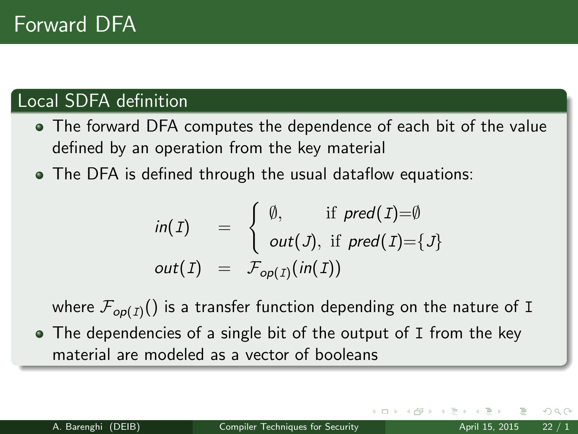## Local SDFA definition

- The forward DFA computes the dependence of each bit of the value defined by an operation from the key material
- The DFA is defined through the usual dataflow equations:

$$
in(I) = \begin{cases} \emptyset, & \text{if } pred(I) = \emptyset \\ out(J), & \text{if } pred(I) = \{J\} \end{cases}
$$
  

$$
out(I) = \mathcal{F}_{op(I)}(in(I))
$$

where  $\mathcal{F}_{op(I)}()$  is a transfer function depending on the nature of I

• The dependencies of a single bit of the output of I from the key material are modeled as a vector of booleans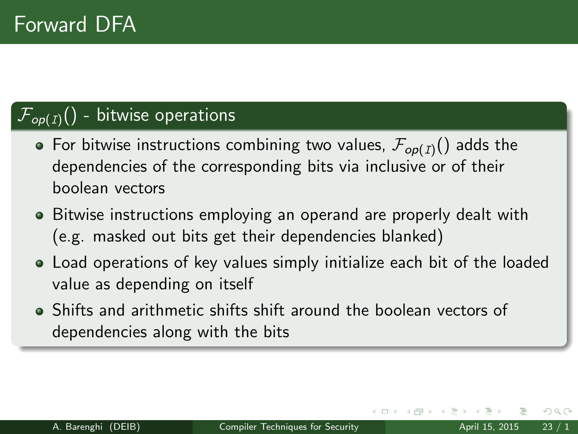## $\ket{\mathcal{F}_{op(I)}}$ () - bitwise operations

- For bitwise instructions combining two values,  $\mathcal{F}_{op(I)}()$  adds the dependencies of the corresponding bits via inclusive or of their boolean vectors
- Bitwise instructions employing an operand are properly dealt with (e.g. masked out bits get their dependencies blanked)
- Load operations of key values simply initialize each bit of the loaded value as depending on itself
- Shifts and arithmetic shifts shift around the boolean vectors of dependencies along with the bits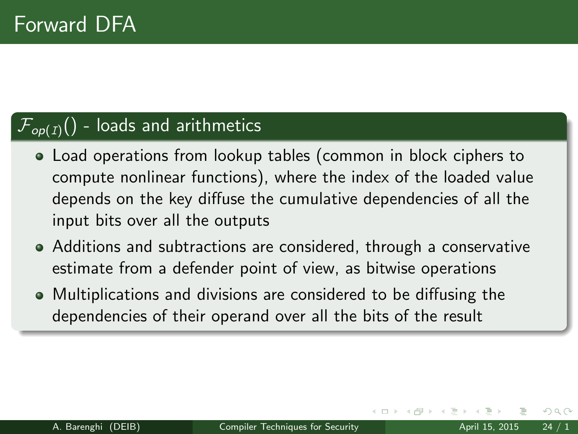## $\mathcal{F}_{oo(1)}()$  - loads and arithmetics

- Load operations from lookup tables (common in block ciphers to compute nonlinear functions), where the index of the loaded value depends on the key diffuse the cumulative dependencies of all the input bits over all the outputs
- Additions and subtractions are considered, through a conservative estimate from a defender point of view, as bitwise operations
- Multiplications and divisions are considered to be diffusing the dependencies of their operand over all the bits of the result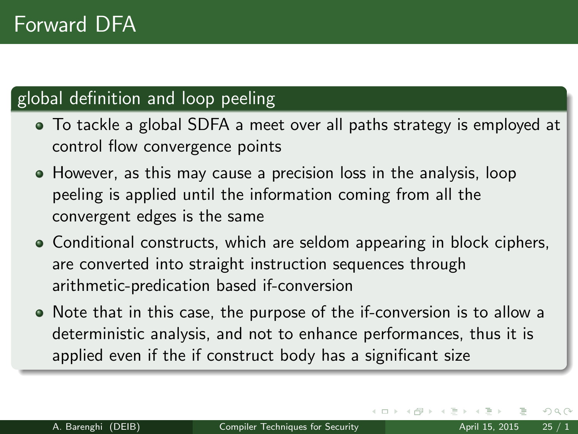## global definition and loop peeling

- To tackle a global SDFA a meet over all paths strategy is employed at control flow convergence points
- However, as this may cause a precision loss in the analysis, loop peeling is applied until the information coming from all the convergent edges is the same
- Conditional constructs, which are seldom appearing in block ciphers, are converted into straight instruction sequences through arithmetic-predication based if-conversion
- Note that in this case, the purpose of the if-conversion is to allow a deterministic analysis, and not to enhance performances, thus it is applied even if the if construct body has a significant size

4 **E** F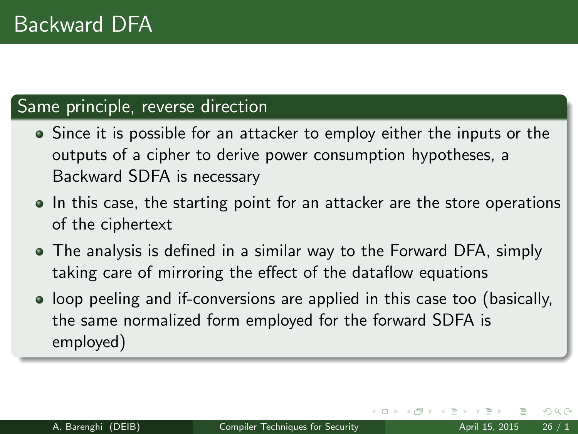#### Same principle, reverse direction

- Since it is possible for an attacker to employ either the inputs or the outputs of a cipher to derive power consumption hypotheses, a Backward SDFA is necessary
- In this case, the starting point for an attacker are the store operations of the ciphertext
- The analysis is defined in a similar way to the Forward DFA, simply taking care of mirroring the effect of the dataflow equations
- loop peeling and if-conversions are applied in this case too (basically, the same normalized form employed for the forward SDFA is employed)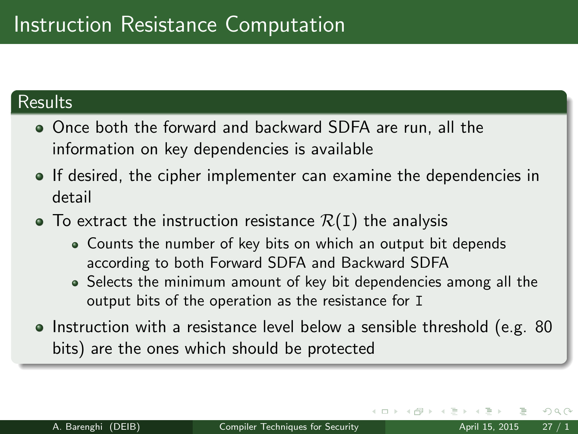#### Results

- Once both the forward and backward SDFA are run, all the information on key dependencies is available
- **If desired, the cipher implementer can examine the dependencies in** detail
- $\bullet$  To extract the instruction resistance  $\mathcal{R}(I)$  the analysis
	- Counts the number of key bits on which an output bit depends according to both Forward SDFA and Backward SDFA
	- Selects the minimum amount of key bit dependencies among all the output bits of the operation as the resistance for I
- Instruction with a resistance level below a sensible threshold (e.g. 80) bits) are the ones which should be protected